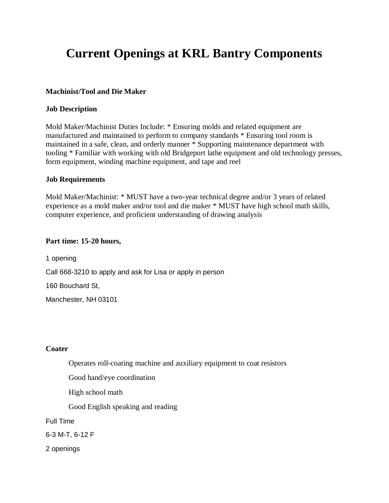# **Current Openings at KRL Bantry Components**

## **Machinist/Tool and Die Maker**

### **Job Description**

Mold Maker/Machinist Duties Include: \* Ensuring molds and related equipment are manufactured and maintained to perform to company standards \* Ensuring tool room is maintained in a safe, clean, and orderly manner \* Supporting maintenance department with tooling \* Familiar with working with old Bridgeport lathe equipment and old technology presses, form equipment, winding machine equipment, and tape and reel

#### **Job Requirements**

Mold Maker/Machinist: \* MUST have a two-year technical degree and/or 3 years of related experience as a mold maker and/or tool and die maker \* MUST have high school math skills, computer experience, and proficient understanding of drawing analysis

## **Part time: 15-20 hours,**

1 opening Call 668-3210 to apply and ask for Lisa or apply in person 160 Bouchard St, Manchester, NH 03101

#### **Coater**

Operates roll-coating machine and auxiliary equipment to coat resistors

Good hand/eye coordination

High school math

Good English speaking and reading

Full Time

6-3 M-T, 6-12 F

2 openings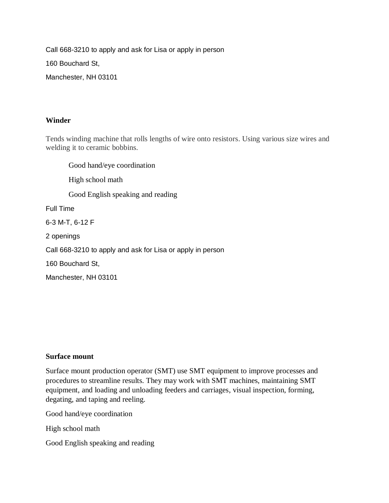Call 668-3210 to apply and ask for Lisa or apply in person

160 Bouchard St,

Manchester, NH 03101

# **Winder**

Tends winding machine that rolls lengths of wire onto resistors. Using various size wires and welding it to ceramic bobbins.

Good hand/eye coordination High school math Good English speaking and reading Full Time 6-3 M-T, 6-12 F 2 openings Call 668-3210 to apply and ask for Lisa or apply in person 160 Bouchard St,

Manchester, NH 03101

# **Surface mount**

Surface mount production operator (SMT) use SMT equipment to improve processes and procedures to streamline results. They may work with SMT machines, maintaining SMT equipment, and loading and unloading feeders and carriages, visual inspection, forming, degating, and taping and reeling.

Good hand/eye coordination

High school math

Good English speaking and reading